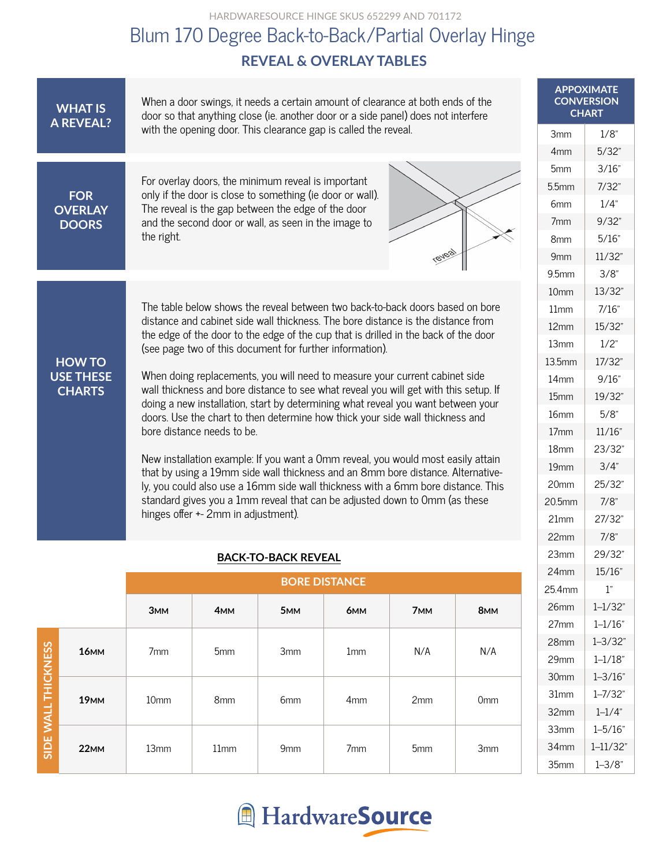HARDWARESOURCE HINGE SKUS 652299 AND 701172

## **REVEAL & OVERLAY TABLES** Blum 170 Degree Back-to-Back/Partial Overlay Hinge

| <b>WHAT IS</b><br><b>A REVEAL?</b> | When a door swings, it needs a certain amount of clearance at both ends of the<br>door so that anything close (ie. another door or a side panel) does not interfere                                                                                                 | <b>APPOXIMATE</b><br><b>CONVERSION</b><br><b>CHART</b> |         |
|------------------------------------|---------------------------------------------------------------------------------------------------------------------------------------------------------------------------------------------------------------------------------------------------------------------|--------------------------------------------------------|---------|
|                                    | with the opening door. This clearance gap is called the reveal.                                                                                                                                                                                                     | 3 <sub>mm</sub>                                        | 1/8"    |
|                                    |                                                                                                                                                                                                                                                                     | 4 <sub>mm</sub>                                        | 5/32    |
|                                    | For overlay doors, the minimum reveal is important<br>only if the door is close to something (ie door or wall).<br>The reveal is the gap between the edge of the door<br>and the second door or wall, as seen in the image to<br>the right.<br><b><i>(BVBa)</i></b> | 5 <sub>mm</sub>                                        | 3/16'   |
| <b>FOR</b>                         |                                                                                                                                                                                                                                                                     | 5.5mm                                                  | 7/32'   |
| <b>OVERLAY</b>                     |                                                                                                                                                                                                                                                                     | 6 <sub>mm</sub>                                        | 1/4"    |
| <b>DOORS</b>                       |                                                                                                                                                                                                                                                                     | 7 <sub>mm</sub>                                        | 9/32    |
|                                    |                                                                                                                                                                                                                                                                     | 8 <sub>mm</sub>                                        | 5/16'   |
|                                    |                                                                                                                                                                                                                                                                     | 9mm                                                    | 11/32   |
|                                    |                                                                                                                                                                                                                                                                     | 9.5mm                                                  | $3/8$ " |
|                                    |                                                                                                                                                                                                                                                                     |                                                        | 13/32   |
|                                    | The table below shows the reveal between two back-to-back doors based on bore<br>distance and cabinet side wall thickness. The bore distance is the distance from                                                                                                   | 11mm                                                   | 7/16"   |
|                                    | the edge of the door to the edge of the cup that is drilled in the back of the door                                                                                                                                                                                 | 12mm                                                   | 15/32   |
|                                    | (see page two of this document for further information).                                                                                                                                                                                                            | 13mm                                                   | 1/2"    |
| <b>HOW TO</b>                      |                                                                                                                                                                                                                                                                     | 13.5mm                                                 | 17/32   |
| <b>USE THESE</b><br><b>CHARTS</b>  | When doing replacements, you will need to measure your current cabinet side<br>wall thickness and bore distance to see what reveal you will get with this setup. If                                                                                                 | 14 <sub>mm</sub>                                       | 9/16'   |
|                                    | doing a new installation, start by determining what reveal you want between your                                                                                                                                                                                    | 15 <sub>mm</sub>                                       | 19/32   |
|                                    | doors. Use the chart to then determine how thick your side wall thickness and                                                                                                                                                                                       | 16mm                                                   | $5/8$ " |
|                                    | bore distance needs to be.                                                                                                                                                                                                                                          | 17 <sub>mm</sub>                                       | 11/16   |
|                                    | New installation example: If you want a 0mm reveal, you would most easily attain                                                                                                                                                                                    | 18mm                                                   | 23/32   |
|                                    | that by using a 19mm side wall thickness and an 8mm bore distance. Alternative-                                                                                                                                                                                     | 19 <sub>mm</sub>                                       | 3/4"    |
|                                    | ly, you could also use a 16mm side wall thickness with a 6mm bore distance. This                                                                                                                                                                                    | 20mm                                                   | 25/32   |
|                                    | standard gives you a 1mm reveal that can be adjusted down to 0mm (as these<br>hinges offer +- 2mm in adjustment).                                                                                                                                                   | 20.5mm                                                 | $7/8$ " |
|                                    |                                                                                                                                                                                                                                                                     | 21mm                                                   | 27/32   |
|                                    |                                                                                                                                                                                                                                                                     | 22mm                                                   | $7/8$ " |
|                                    |                                                                                                                                                                                                                                                                     |                                                        |         |

#### **BACK-TO-BACK REVEAL**

|                     |             | <b>BORE DISTANCE</b> |                 |                 |                 |                 |                 |
|---------------------|-------------|----------------------|-----------------|-----------------|-----------------|-----------------|-----------------|
|                     |             | 3 <sub>MM</sub>      | 4 <sub>MM</sub> | 5 <sub>MM</sub> | 6 <sub>MM</sub> | 7 <sub>MM</sub> | 8 <sub>MM</sub> |
| SIDE WALL THICKNESS | <b>16MM</b> | 7 <sub>mm</sub>      | 5 <sub>mm</sub> | 3 <sub>mm</sub> | 1 <sub>mm</sub> | N/A             | N/A             |
|                     | <b>19MM</b> | 10 <sub>mm</sub>     | 8 <sub>mm</sub> | 6 <sub>mm</sub> | 4 <sub>mm</sub> | 2mm             | 0 <sub>mm</sub> |
|                     | <b>22MM</b> | 13mm                 | 11mm            | 9 <sub>mm</sub> | 7 <sub>mm</sub> | 5 <sub>mm</sub> | 3 <sub>mm</sub> |



27mm 28mm 29mm 30mm 31mm 32mm 33mm 34mm 35mm

 $1 - 1/16"$  $1 - 3/32"$  $1 - 1/18$ "  $1 - 3/16"$  $1 - 7/32"$  $1 - 1/4"$  $1 - 5/16"$  $1 - 11/32"$  $1 - 3/8$ "